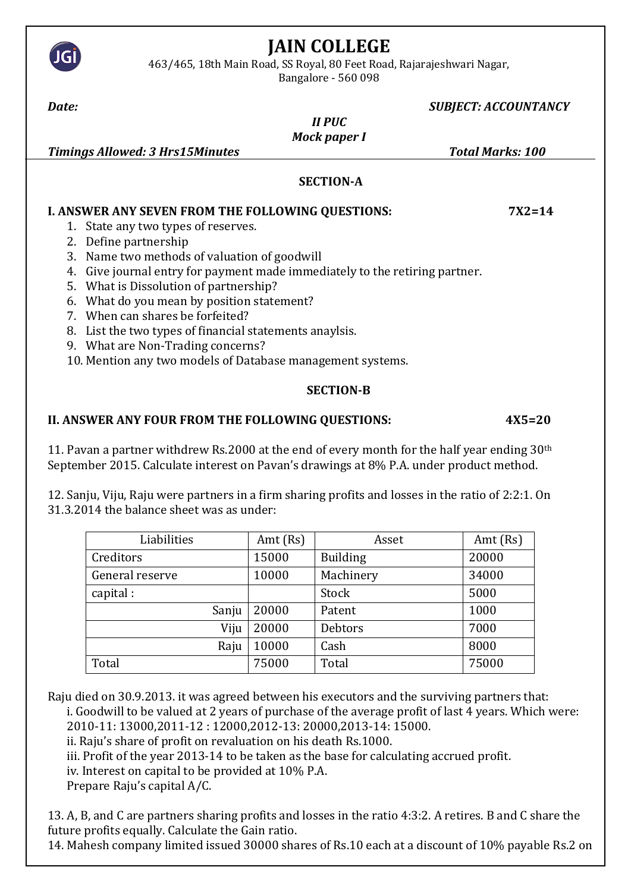

# **JAIN COLLEGE**

463/465, 18th Main Road, SS Royal, 80 Feet Road, Rajarajeshwari Nagar,

Bangalore - 560 098

### *Date: SUBJECT: ACCOUNTANCY*

# *II PUC Mock paper I*

*Timings Allowed: 3 Hrs15Minutes Total Marks: 100*

#### **SECTION-A**

#### **I. ANSWER ANY SEVEN FROM THE FOLLOWING QUESTIONS: 7X2=14**  1. State any two types of reserves.

- 2. Define partnership
- 3. Name two methods of valuation of goodwill
- 4. Give journal entry for payment made immediately to the retiring partner.
- 5. What is Dissolution of partnership?
- 6. What do you mean by position statement?
- 7. When can shares be forfeited?
- 8. List the two types of financial statements anaylsis.
- 9. What are Non-Trading concerns?

10. Mention any two models of Database management systems.

# **SECTION-B**

# **II. ANSWER ANY FOUR FROM THE FOLLOWING QUESTIONS: 4X5=20**

11. Pavan a partner withdrew Rs.2000 at the end of every month for the half year ending  $30<sup>th</sup>$ September 2015. Calculate interest on Pavan's drawings at 8% P.A. under product method.

12. Sanju, Viju, Raju were partners in a firm sharing profits and losses in the ratio of 2:2:1. On 31.3.2014 the balance sheet was as under:

| Liabilities     | Amt $(Rs)$ | Asset           | Amt $(Rs)$ |
|-----------------|------------|-----------------|------------|
| Creditors       | 15000      | <b>Building</b> | 20000      |
| General reserve | 10000      | Machinery       | 34000      |
| capital:        |            | Stock           | 5000       |
| Sanju           | 20000      | Patent          | 1000       |
| Viju            | 20000      | <b>Debtors</b>  | 7000       |
| Raju            | 10000      | Cash            | 8000       |
| Total           | 75000      | Total           | 75000      |

Raju died on 30.9.2013. it was agreed between his executors and the surviving partners that: i. Goodwill to be valued at 2 years of purchase of the average profit of last 4 years. Which were:

2010-11: 13000,2011-12 : 12000,2012-13: 20000,2013-14: 15000.

ii. Raju's share of profit on revaluation on his death Rs.1000.

iii. Profit of the year 2013-14 to be taken as the base for calculating accrued profit.

iv. Interest on capital to be provided at 10% P.A.

Prepare Raju's capital A/C.

13. A, B, and C are partners sharing profits and losses in the ratio 4:3:2. A retires. B and C share the future profits equally. Calculate the Gain ratio.

14. Mahesh company limited issued 30000 shares of Rs.10 each at a discount of 10% payable Rs.2 on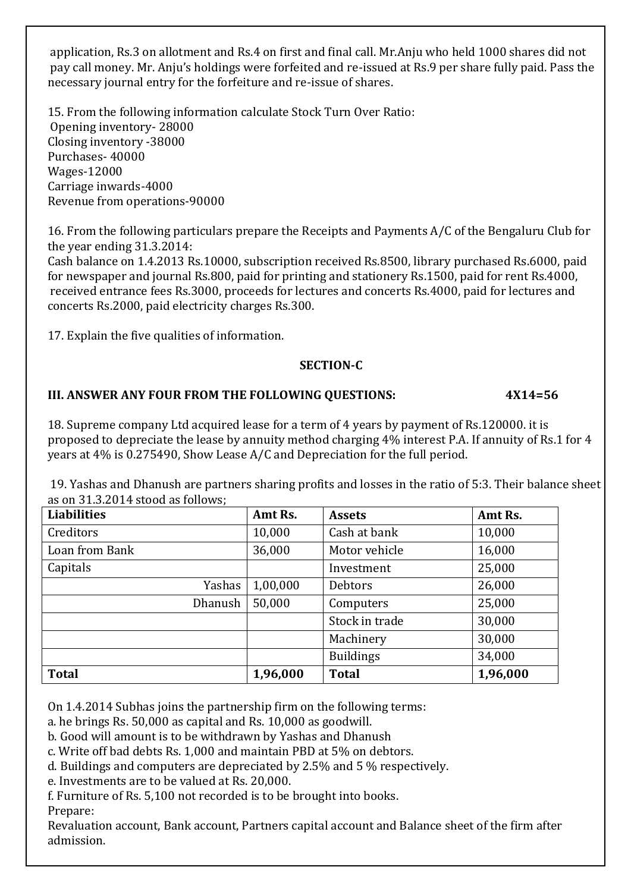application, Rs.3 on allotment and Rs.4 on first and final call. Mr.Anju who held 1000 shares did not pay call money. Mr. Anju's holdings were forfeited and re-issued at Rs.9 per share fully paid. Pass the necessary journal entry for the forfeiture and re-issue of shares.

15. From the following information calculate Stock Turn Over Ratio: Opening inventory- 28000 Closing inventory -38000 Purchases- 40000 Wages-12000 Carriage inwards-4000 Revenue from operations-90000

16. From the following particulars prepare the Receipts and Payments A/C of the Bengaluru Club for the year ending 31.3.2014:

Cash balance on 1.4.2013 Rs.10000, subscription received Rs.8500, library purchased Rs.6000, paid for newspaper and journal Rs.800, paid for printing and stationery Rs.1500, paid for rent Rs.4000, received entrance fees Rs.3000, proceeds for lectures and concerts Rs.4000, paid for lectures and concerts Rs.2000, paid electricity charges Rs.300.

17. Explain the five qualities of information.

## **SECTION-C**

# **III. ANSWER ANY FOUR FROM THE FOLLOWING QUESTIONS: 4X14=56**

18. Supreme company Ltd acquired lease for a term of 4 years by payment of Rs.120000. it is proposed to depreciate the lease by annuity method charging 4% interest P.A. If annuity of Rs.1 for 4 years at 4% is 0.275490, Show Lease A/C and Depreciation for the full period.

19. Yashas and Dhanush are partners sharing profits and losses in the ratio of 5:3. Their balance sheet as on 31.3.2014 stood as follows;

| <b>Liabilities</b> | Amt Rs.  | <b>Assets</b>    | Amt Rs.  |
|--------------------|----------|------------------|----------|
| Creditors          | 10,000   | Cash at bank     | 10,000   |
| Loan from Bank     | 36,000   | Motor vehicle    | 16,000   |
| Capitals           |          | Investment       | 25,000   |
| Yashas             | 1,00,000 | Debtors          | 26,000   |
| <b>Dhanush</b>     | 50,000   | Computers        | 25,000   |
|                    |          | Stock in trade   | 30,000   |
|                    |          | Machinery        | 30,000   |
|                    |          | <b>Buildings</b> | 34,000   |
| <b>Total</b>       | 1,96,000 | <b>Total</b>     | 1,96,000 |

On 1.4.2014 Subhas joins the partnership firm on the following terms:

a. he brings Rs. 50,000 as capital and Rs. 10,000 as goodwill.

b. Good will amount is to be withdrawn by Yashas and Dhanush

c. Write off bad debts Rs. 1,000 and maintain PBD at 5% on debtors.

d. Buildings and computers are depreciated by 2.5% and 5 % respectively.

e. Investments are to be valued at Rs. 20,000.

f. Furniture of Rs. 5,100 not recorded is to be brought into books. Prepare:

Revaluation account, Bank account, Partners capital account and Balance sheet of the firm after admission.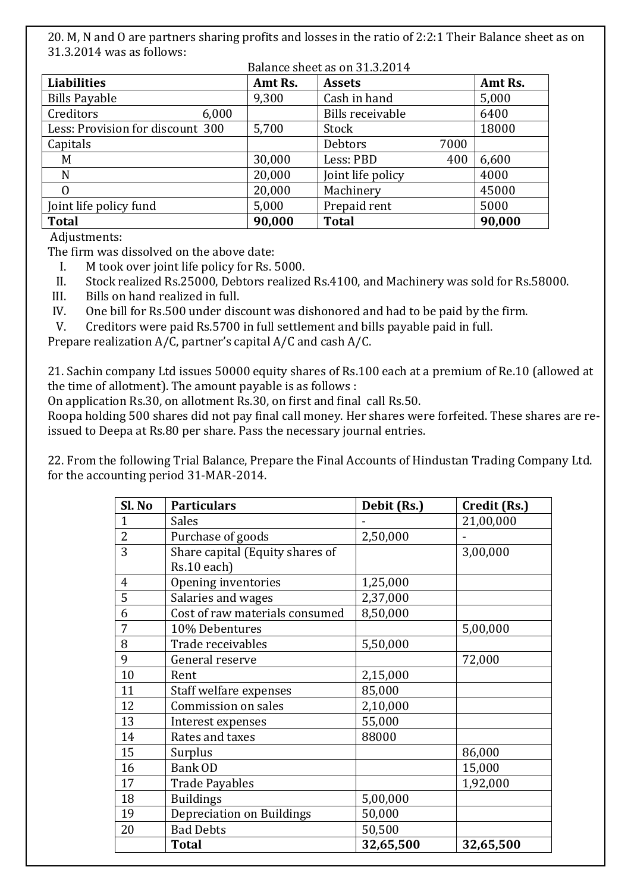20. M, N and O are partners sharing profits and losses in the ratio of 2:2:1 Their Balance sheet as on 31.3.2014 was as follows:

| Balance sheet as on 31.3.2014    |       |         |                         |      |         |
|----------------------------------|-------|---------|-------------------------|------|---------|
| <b>Liabilities</b>               |       | Amt Rs. | <b>Assets</b>           |      | Amt Rs. |
| <b>Bills Payable</b>             |       | 9,300   | Cash in hand            |      | 5,000   |
| Creditors                        | 6,000 |         | <b>Bills receivable</b> |      | 6400    |
| Less: Provision for discount 300 |       | 5,700   | Stock                   |      | 18000   |
| Capitals                         |       |         | <b>Debtors</b>          | 7000 |         |
| M                                |       | 30,000  | Less: PBD               | 400  | 6,600   |
| N                                |       | 20,000  | Joint life policy       |      | 4000    |
| 0                                |       | 20,000  | Machinery               |      | 45000   |
| Joint life policy fund           |       | 5,000   | Prepaid rent            |      | 5000    |
| <b>Total</b>                     |       | 90,000  | <b>Total</b>            |      | 90,000  |

Adjustments:

The firm was dissolved on the above date:

I. M took over joint life policy for Rs. 5000.

II. Stock realized Rs.25000, Debtors realized Rs.4100, and Machinery was sold for Rs.58000.

III. Bills on hand realized in full.

IV. One bill for Rs.500 under discount was dishonored and had to be paid by the firm.

V. Creditors were paid Rs.5700 in full settlement and bills payable paid in full.

Prepare realization A/C, partner's capital A/C and cash A/C.

21. Sachin company Ltd issues 50000 equity shares of Rs.100 each at a premium of Re.10 (allowed at the time of allotment). The amount payable is as follows :

On application Rs.30, on allotment Rs.30, on first and final call Rs.50.

Roopa holding 500 shares did not pay final call money. Her shares were forfeited. These shares are reissued to Deepa at Rs.80 per share. Pass the necessary journal entries.

22. From the following Trial Balance, Prepare the Final Accounts of Hindustan Trading Company Ltd. for the accounting period 31-MAR-2014.

| Sl. No         | <b>Particulars</b>                             | Debit (Rs.) | Credit (Rs.) |
|----------------|------------------------------------------------|-------------|--------------|
| 1              | <b>Sales</b>                                   |             | 21,00,000    |
| $\overline{2}$ | Purchase of goods                              | 2,50,000    |              |
| 3              | Share capital (Equity shares of<br>Rs.10 each) |             | 3,00,000     |
| $\overline{4}$ | Opening inventories                            | 1,25,000    |              |
| 5              | Salaries and wages                             | 2,37,000    |              |
| 6              | Cost of raw materials consumed                 | 8,50,000    |              |
| 7              | 10% Debentures                                 |             | 5,00,000     |
| 8              | Trade receivables                              | 5,50,000    |              |
| 9              | General reserve                                |             | 72,000       |
| 10             | Rent                                           | 2,15,000    |              |
| 11             | Staff welfare expenses                         | 85,000      |              |
| 12             | Commission on sales                            | 2,10,000    |              |
| 13             | Interest expenses                              | 55,000      |              |
| 14             | Rates and taxes                                | 88000       |              |
| 15             | Surplus                                        |             | 86,000       |
| 16             | <b>Bank OD</b>                                 |             | 15,000       |
| 17             | <b>Trade Payables</b>                          |             | 1,92,000     |
| 18             | <b>Buildings</b>                               | 5,00,000    |              |
| 19             | Depreciation on Buildings                      | 50,000      |              |
| 20             | <b>Bad Debts</b>                               | 50,500      |              |
|                | <b>Total</b>                                   | 32,65,500   | 32,65,500    |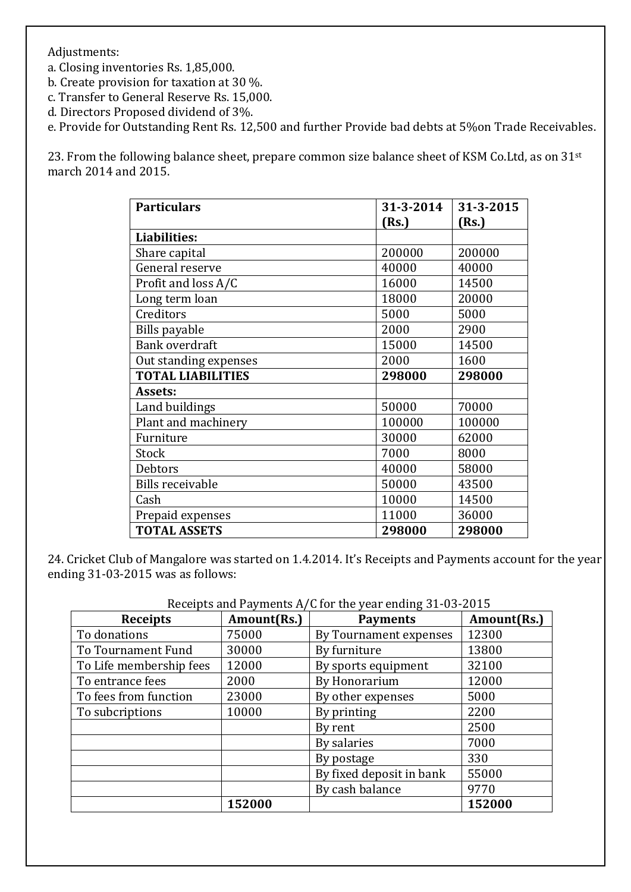Adjustments:

a. Closing inventories Rs. 1,85,000.

b. Create provision for taxation at 30 %.

c. Transfer to General Reserve Rs. 15,000.

d. Directors Proposed dividend of 3%.

e. Provide for Outstanding Rent Rs. 12,500 and further Provide bad debts at 5%on Trade Receivables.

23. From the following balance sheet, prepare common size balance sheet of KSM Co.Ltd, as on 31<sup>st</sup> march 2014 and 2015.

| <b>Particulars</b>       | 31-3-2014 | 31-3-2015 |
|--------------------------|-----------|-----------|
|                          | (Rs.)     | (Rs.)     |
| <b>Liabilities:</b>      |           |           |
| Share capital            | 200000    | 200000    |
| General reserve          | 40000     | 40000     |
| Profit and loss A/C      | 16000     | 14500     |
| Long term loan           | 18000     | 20000     |
| Creditors                | 5000      | 5000      |
| <b>Bills payable</b>     | 2000      | 2900      |
| <b>Bank overdraft</b>    | 15000     | 14500     |
| Out standing expenses    | 2000      | 1600      |
| <b>TOTAL LIABILITIES</b> | 298000    | 298000    |
| Assets:                  |           |           |
| Land buildings           | 50000     | 70000     |
| Plant and machinery      | 100000    | 100000    |
| Furniture                | 30000     | 62000     |
| Stock                    | 7000      | 8000      |
| Debtors                  | 40000     | 58000     |
| <b>Bills receivable</b>  | 50000     | 43500     |
| Cash                     | 10000     | 14500     |
| Prepaid expenses         | 11000     | 36000     |
| <b>TOTAL ASSETS</b>      | 298000    | 298000    |

24. Cricket Club of Mangalore was started on 1.4.2014. It's Receipts and Payments account for the year ending 31-03-2015 was as follows:

| <b>Receipts</b>         | Amount(Rs.) | Receipts and Payments $A/G$ for the year ending $31$ -03-2013<br><b>Payments</b> | Amount(Rs.) |
|-------------------------|-------------|----------------------------------------------------------------------------------|-------------|
| To donations            | 75000       | By Tournament expenses                                                           | 12300       |
| To Tournament Fund      | 30000       | By furniture                                                                     | 13800       |
| To Life membership fees | 12000       | By sports equipment                                                              | 32100       |
| To entrance fees        | 2000        | By Honorarium                                                                    | 12000       |
| To fees from function   | 23000       | By other expenses                                                                | 5000        |
| To subcriptions         | 10000       | By printing                                                                      | 2200        |
|                         |             | By rent                                                                          | 2500        |
|                         |             | By salaries                                                                      | 7000        |
|                         |             | By postage                                                                       | 330         |
|                         |             | By fixed deposit in bank                                                         | 55000       |
|                         |             | By cash balance                                                                  | 9770        |
|                         | 152000      |                                                                                  | 152000      |

Receipts and Payments A/C for the year ending 31-03-2015